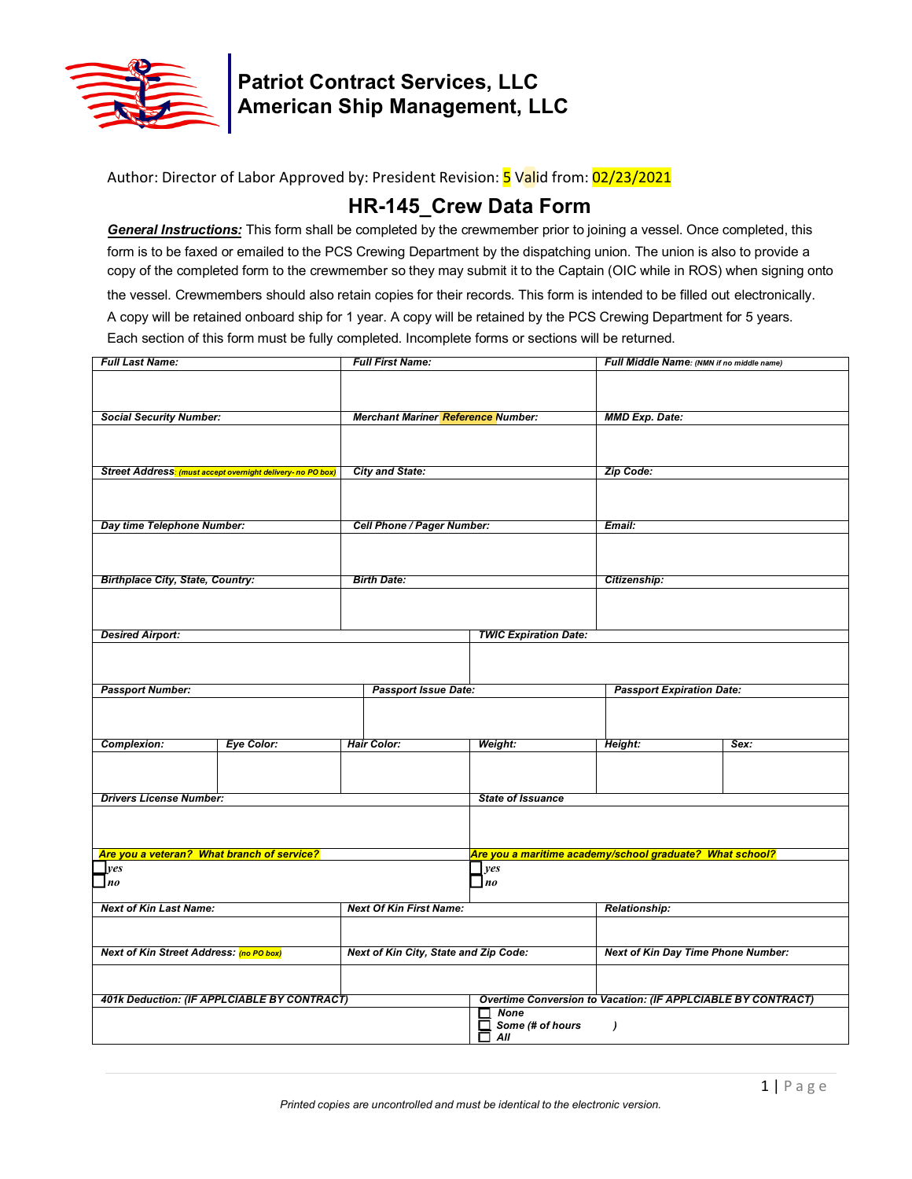

## **Patriot Contract Services, LLC American Ship Management, LLC**

### Author: Director of Labor Approved by: President Revision: <mark>5</mark> Valid from: 02/23/2021

## **HR-145\_Crew Data Form**

*General Instructions:* This form shall be completed by the crewmember prior to joining a vessel. Once completed, this form is to be faxed or emailed to the PCS Crewing Department by the dispatching union. The union is also to provide a copy of the completed form to the crewmember so they may submit it to the Captain (OIC while in ROS) when signing onto

the vessel. Crewmembers should also retain copies for their records. This form is intended to be filled out electronically. A copy will be retained onboard ship for 1 year. A copy will be retained by the PCS Crewing Department for 5 years. Each section of this form must be fully completed. Incomplete forms or sections will be returned.

| <b>Social Security Number:</b><br><b>Merchant Mariner Reference Number:</b><br><b>MMD Exp. Date:</b><br><b>City and State:</b><br>Street Address: (must accept overnight delivery- no PO box)<br>Zip Code:<br>Cell Phone / Pager Number:<br>Day time Telephone Number:<br>Email:<br><b>Birthplace City, State, Country:</b><br><b>Birth Date:</b><br>Citizenship:<br><b>Desired Airport:</b><br><b>TWIC Expiration Date:</b><br><b>Passport Number:</b><br><b>Passport Issue Date:</b><br><b>Passport Expiration Date:</b><br><b>Complexion:</b><br>Eye Color:<br><b>Hair Color:</b><br>Weight:<br>Height:<br>Sex:<br><b>Drivers License Number:</b><br><b>State of Issuance</b><br>Are you a veteran? What branch of service?<br>Are you a maritime academy/school graduate? What school?<br>$\mathbf{\perp}$ yes<br>yes<br>n <sub>o</sub><br>$\blacksquare$ no<br><b>Next Of Kin First Name:</b><br><b>Next of Kin Last Name:</b><br><b>Relationship:</b><br><b>Next of Kin Street Address: (no PO box)</b><br>Next of Kin City, State and Zip Code:<br><b>Next of Kin Day Time Phone Number:</b><br>401k Deduction: (IF APPLCIABLE BY CONTRACT)<br>Overtime Conversion to Vacation: (IF APPLCIABLE BY CONTRACT)<br><b>None</b><br>Some (# of hours<br>П<br>$\lambda$ | <b>Full Last Name:</b> |  |  | <b>Full First Name:</b> |          | Full Middle Name: (NMN if no middle name) |  |
|-------------------------------------------------------------------------------------------------------------------------------------------------------------------------------------------------------------------------------------------------------------------------------------------------------------------------------------------------------------------------------------------------------------------------------------------------------------------------------------------------------------------------------------------------------------------------------------------------------------------------------------------------------------------------------------------------------------------------------------------------------------------------------------------------------------------------------------------------------------------------------------------------------------------------------------------------------------------------------------------------------------------------------------------------------------------------------------------------------------------------------------------------------------------------------------------------------------------------------------------------------------------------|------------------------|--|--|-------------------------|----------|-------------------------------------------|--|
|                                                                                                                                                                                                                                                                                                                                                                                                                                                                                                                                                                                                                                                                                                                                                                                                                                                                                                                                                                                                                                                                                                                                                                                                                                                                         |                        |  |  |                         |          |                                           |  |
|                                                                                                                                                                                                                                                                                                                                                                                                                                                                                                                                                                                                                                                                                                                                                                                                                                                                                                                                                                                                                                                                                                                                                                                                                                                                         |                        |  |  |                         |          |                                           |  |
|                                                                                                                                                                                                                                                                                                                                                                                                                                                                                                                                                                                                                                                                                                                                                                                                                                                                                                                                                                                                                                                                                                                                                                                                                                                                         |                        |  |  |                         |          |                                           |  |
|                                                                                                                                                                                                                                                                                                                                                                                                                                                                                                                                                                                                                                                                                                                                                                                                                                                                                                                                                                                                                                                                                                                                                                                                                                                                         |                        |  |  |                         |          |                                           |  |
|                                                                                                                                                                                                                                                                                                                                                                                                                                                                                                                                                                                                                                                                                                                                                                                                                                                                                                                                                                                                                                                                                                                                                                                                                                                                         |                        |  |  |                         |          |                                           |  |
|                                                                                                                                                                                                                                                                                                                                                                                                                                                                                                                                                                                                                                                                                                                                                                                                                                                                                                                                                                                                                                                                                                                                                                                                                                                                         |                        |  |  |                         |          |                                           |  |
|                                                                                                                                                                                                                                                                                                                                                                                                                                                                                                                                                                                                                                                                                                                                                                                                                                                                                                                                                                                                                                                                                                                                                                                                                                                                         |                        |  |  |                         |          |                                           |  |
|                                                                                                                                                                                                                                                                                                                                                                                                                                                                                                                                                                                                                                                                                                                                                                                                                                                                                                                                                                                                                                                                                                                                                                                                                                                                         |                        |  |  |                         |          |                                           |  |
|                                                                                                                                                                                                                                                                                                                                                                                                                                                                                                                                                                                                                                                                                                                                                                                                                                                                                                                                                                                                                                                                                                                                                                                                                                                                         |                        |  |  |                         |          |                                           |  |
|                                                                                                                                                                                                                                                                                                                                                                                                                                                                                                                                                                                                                                                                                                                                                                                                                                                                                                                                                                                                                                                                                                                                                                                                                                                                         |                        |  |  |                         |          |                                           |  |
|                                                                                                                                                                                                                                                                                                                                                                                                                                                                                                                                                                                                                                                                                                                                                                                                                                                                                                                                                                                                                                                                                                                                                                                                                                                                         |                        |  |  |                         |          |                                           |  |
|                                                                                                                                                                                                                                                                                                                                                                                                                                                                                                                                                                                                                                                                                                                                                                                                                                                                                                                                                                                                                                                                                                                                                                                                                                                                         |                        |  |  |                         |          |                                           |  |
|                                                                                                                                                                                                                                                                                                                                                                                                                                                                                                                                                                                                                                                                                                                                                                                                                                                                                                                                                                                                                                                                                                                                                                                                                                                                         |                        |  |  |                         |          |                                           |  |
|                                                                                                                                                                                                                                                                                                                                                                                                                                                                                                                                                                                                                                                                                                                                                                                                                                                                                                                                                                                                                                                                                                                                                                                                                                                                         |                        |  |  |                         |          |                                           |  |
|                                                                                                                                                                                                                                                                                                                                                                                                                                                                                                                                                                                                                                                                                                                                                                                                                                                                                                                                                                                                                                                                                                                                                                                                                                                                         |                        |  |  |                         |          |                                           |  |
|                                                                                                                                                                                                                                                                                                                                                                                                                                                                                                                                                                                                                                                                                                                                                                                                                                                                                                                                                                                                                                                                                                                                                                                                                                                                         |                        |  |  |                         |          |                                           |  |
|                                                                                                                                                                                                                                                                                                                                                                                                                                                                                                                                                                                                                                                                                                                                                                                                                                                                                                                                                                                                                                                                                                                                                                                                                                                                         |                        |  |  |                         |          |                                           |  |
|                                                                                                                                                                                                                                                                                                                                                                                                                                                                                                                                                                                                                                                                                                                                                                                                                                                                                                                                                                                                                                                                                                                                                                                                                                                                         |                        |  |  |                         |          |                                           |  |
|                                                                                                                                                                                                                                                                                                                                                                                                                                                                                                                                                                                                                                                                                                                                                                                                                                                                                                                                                                                                                                                                                                                                                                                                                                                                         |                        |  |  |                         |          |                                           |  |
|                                                                                                                                                                                                                                                                                                                                                                                                                                                                                                                                                                                                                                                                                                                                                                                                                                                                                                                                                                                                                                                                                                                                                                                                                                                                         |                        |  |  |                         |          |                                           |  |
|                                                                                                                                                                                                                                                                                                                                                                                                                                                                                                                                                                                                                                                                                                                                                                                                                                                                                                                                                                                                                                                                                                                                                                                                                                                                         |                        |  |  |                         |          |                                           |  |
|                                                                                                                                                                                                                                                                                                                                                                                                                                                                                                                                                                                                                                                                                                                                                                                                                                                                                                                                                                                                                                                                                                                                                                                                                                                                         |                        |  |  |                         |          |                                           |  |
|                                                                                                                                                                                                                                                                                                                                                                                                                                                                                                                                                                                                                                                                                                                                                                                                                                                                                                                                                                                                                                                                                                                                                                                                                                                                         |                        |  |  |                         |          |                                           |  |
|                                                                                                                                                                                                                                                                                                                                                                                                                                                                                                                                                                                                                                                                                                                                                                                                                                                                                                                                                                                                                                                                                                                                                                                                                                                                         |                        |  |  |                         |          |                                           |  |
|                                                                                                                                                                                                                                                                                                                                                                                                                                                                                                                                                                                                                                                                                                                                                                                                                                                                                                                                                                                                                                                                                                                                                                                                                                                                         |                        |  |  |                         |          |                                           |  |
|                                                                                                                                                                                                                                                                                                                                                                                                                                                                                                                                                                                                                                                                                                                                                                                                                                                                                                                                                                                                                                                                                                                                                                                                                                                                         |                        |  |  |                         |          |                                           |  |
|                                                                                                                                                                                                                                                                                                                                                                                                                                                                                                                                                                                                                                                                                                                                                                                                                                                                                                                                                                                                                                                                                                                                                                                                                                                                         |                        |  |  |                         |          |                                           |  |
|                                                                                                                                                                                                                                                                                                                                                                                                                                                                                                                                                                                                                                                                                                                                                                                                                                                                                                                                                                                                                                                                                                                                                                                                                                                                         |                        |  |  |                         |          |                                           |  |
|                                                                                                                                                                                                                                                                                                                                                                                                                                                                                                                                                                                                                                                                                                                                                                                                                                                                                                                                                                                                                                                                                                                                                                                                                                                                         |                        |  |  |                         |          |                                           |  |
|                                                                                                                                                                                                                                                                                                                                                                                                                                                                                                                                                                                                                                                                                                                                                                                                                                                                                                                                                                                                                                                                                                                                                                                                                                                                         |                        |  |  |                         |          |                                           |  |
|                                                                                                                                                                                                                                                                                                                                                                                                                                                                                                                                                                                                                                                                                                                                                                                                                                                                                                                                                                                                                                                                                                                                                                                                                                                                         |                        |  |  |                         |          |                                           |  |
|                                                                                                                                                                                                                                                                                                                                                                                                                                                                                                                                                                                                                                                                                                                                                                                                                                                                                                                                                                                                                                                                                                                                                                                                                                                                         |                        |  |  |                         |          |                                           |  |
|                                                                                                                                                                                                                                                                                                                                                                                                                                                                                                                                                                                                                                                                                                                                                                                                                                                                                                                                                                                                                                                                                                                                                                                                                                                                         |                        |  |  |                         |          |                                           |  |
|                                                                                                                                                                                                                                                                                                                                                                                                                                                                                                                                                                                                                                                                                                                                                                                                                                                                                                                                                                                                                                                                                                                                                                                                                                                                         |                        |  |  |                         |          |                                           |  |
|                                                                                                                                                                                                                                                                                                                                                                                                                                                                                                                                                                                                                                                                                                                                                                                                                                                                                                                                                                                                                                                                                                                                                                                                                                                                         |                        |  |  |                         |          |                                           |  |
|                                                                                                                                                                                                                                                                                                                                                                                                                                                                                                                                                                                                                                                                                                                                                                                                                                                                                                                                                                                                                                                                                                                                                                                                                                                                         |                        |  |  |                         |          |                                           |  |
|                                                                                                                                                                                                                                                                                                                                                                                                                                                                                                                                                                                                                                                                                                                                                                                                                                                                                                                                                                                                                                                                                                                                                                                                                                                                         |                        |  |  |                         |          |                                           |  |
|                                                                                                                                                                                                                                                                                                                                                                                                                                                                                                                                                                                                                                                                                                                                                                                                                                                                                                                                                                                                                                                                                                                                                                                                                                                                         |                        |  |  |                         |          |                                           |  |
|                                                                                                                                                                                                                                                                                                                                                                                                                                                                                                                                                                                                                                                                                                                                                                                                                                                                                                                                                                                                                                                                                                                                                                                                                                                                         |                        |  |  |                         |          |                                           |  |
|                                                                                                                                                                                                                                                                                                                                                                                                                                                                                                                                                                                                                                                                                                                                                                                                                                                                                                                                                                                                                                                                                                                                                                                                                                                                         |                        |  |  |                         |          |                                           |  |
|                                                                                                                                                                                                                                                                                                                                                                                                                                                                                                                                                                                                                                                                                                                                                                                                                                                                                                                                                                                                                                                                                                                                                                                                                                                                         |                        |  |  |                         |          |                                           |  |
|                                                                                                                                                                                                                                                                                                                                                                                                                                                                                                                                                                                                                                                                                                                                                                                                                                                                                                                                                                                                                                                                                                                                                                                                                                                                         |                        |  |  |                         |          |                                           |  |
|                                                                                                                                                                                                                                                                                                                                                                                                                                                                                                                                                                                                                                                                                                                                                                                                                                                                                                                                                                                                                                                                                                                                                                                                                                                                         |                        |  |  |                         |          |                                           |  |
|                                                                                                                                                                                                                                                                                                                                                                                                                                                                                                                                                                                                                                                                                                                                                                                                                                                                                                                                                                                                                                                                                                                                                                                                                                                                         |                        |  |  |                         |          |                                           |  |
|                                                                                                                                                                                                                                                                                                                                                                                                                                                                                                                                                                                                                                                                                                                                                                                                                                                                                                                                                                                                                                                                                                                                                                                                                                                                         |                        |  |  |                         | All<br>□ |                                           |  |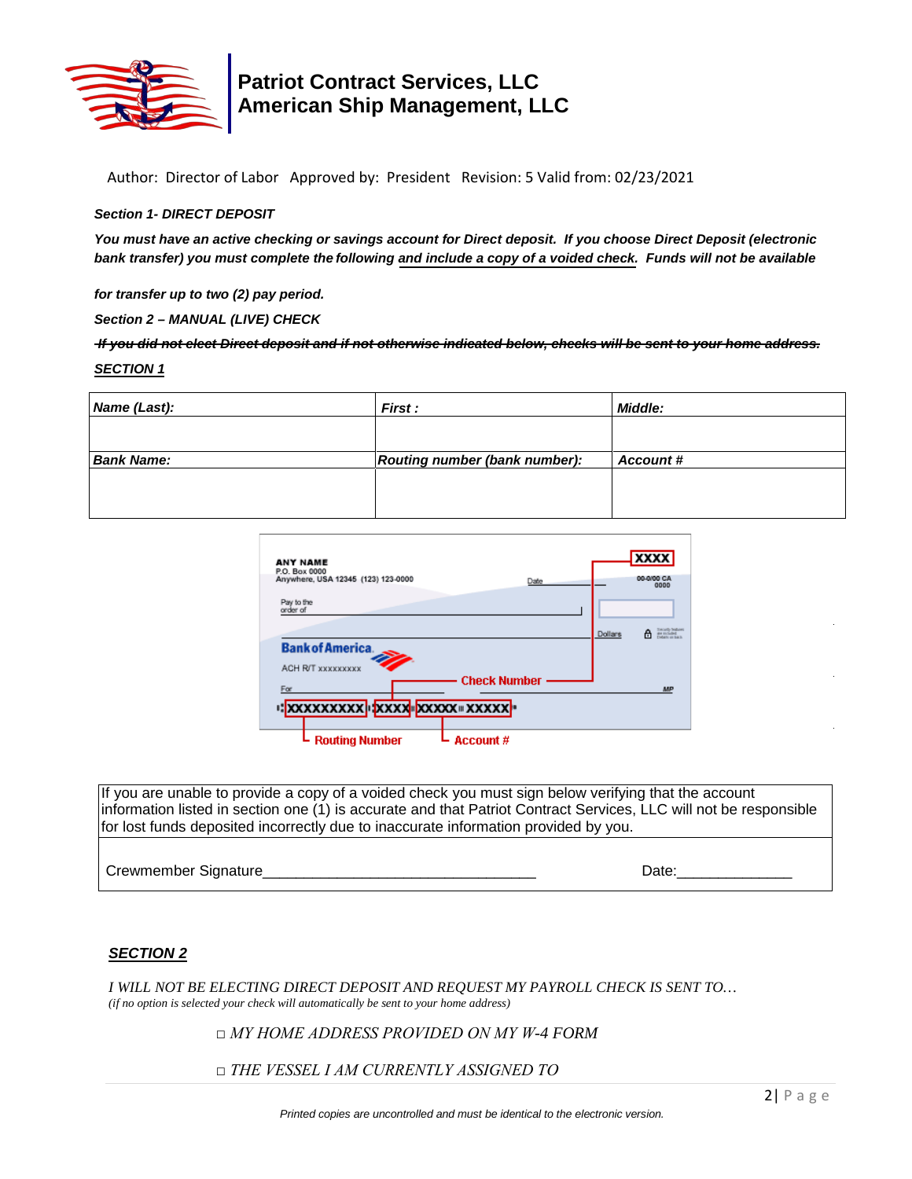

## **Patriot Contract Services, LLC American Ship Management, LLC**

Author: Director of Labor Approved by: President Revision: 5 Valid from: 02/23/2021

#### *Section 1- DIRECT DEPOSIT*

*You must have an active checking or savings account for Direct deposit. If you choose Direct Deposit (electronic bank transfer) you must complete the following and include a copy of a voided check. Funds will not be available*

*for transfer up to two (2) pay period.*

*Section 2 – MANUAL (LIVE) CHECK*

*If you did not elect Direct deposit and if not otherwise indicated below, checks will be sent to your home address. SECTION 1*

| Name (Last):      | <b>First:</b>                        | <b>Middle:</b> |
|-------------------|--------------------------------------|----------------|
|                   |                                      |                |
| <b>Bank Name:</b> | <b>Routing number (bank number):</b> | Account#       |
|                   |                                      |                |
|                   |                                      |                |

| <b>ANY NAME</b>                    |                     | <b>XXXX</b>                                                       |
|------------------------------------|---------------------|-------------------------------------------------------------------|
| P.O. Box 0000                      |                     |                                                                   |
| Anywhere, USA 12345 (123) 123-0000 | Date                | 00-0/00 CA<br>0000                                                |
|                                    |                     |                                                                   |
| Pay to the                         |                     |                                                                   |
| order of                           |                     |                                                                   |
|                                    |                     |                                                                   |
|                                    |                     | Tomastic begins<br>are miliaded<br>Codany on back<br>Dollars<br>A |
| <b>Bank of America.</b>            |                     |                                                                   |
|                                    |                     |                                                                   |
| <b>ACH RIT XXXXXXXXX</b>           |                     |                                                                   |
|                                    | <b>Check Number</b> |                                                                   |
| For                                |                     | <b>MP</b>                                                         |
|                                    |                     |                                                                   |
| I: XXXXXXXXX IXXXX  XXXXX  XXXXXX  |                     |                                                                   |
|                                    |                     |                                                                   |
|                                    |                     |                                                                   |
| <b>Routing Number</b>              | Account #           |                                                                   |
|                                    |                     |                                                                   |

If you are unable to provide a copy of a voided check you must sign below verifying that the account information listed in section one (1) is accurate and that Patriot Contract Services, LLC will not be responsible for lost funds deposited incorrectly due to inaccurate information provided by you.

Crewmember Signature et al. 2008 and 2009 and 2009 and 2009 and 2009 and 2009 and 2009 and 2009 and 2009 and 20

### *SECTION 2*

*I WILL NOT BE ELECTING DIRECT DEPOSIT AND REQUEST MY PAYROLL CHECK IS SENT TO… (if no option is selected your check will automatically be sent to your home address)* 

*□ MY HOME ADDRESS PROVIDED ON MY W-4 FORM*

*□ THE VESSEL I AM CURRENTLY ASSIGNED TO*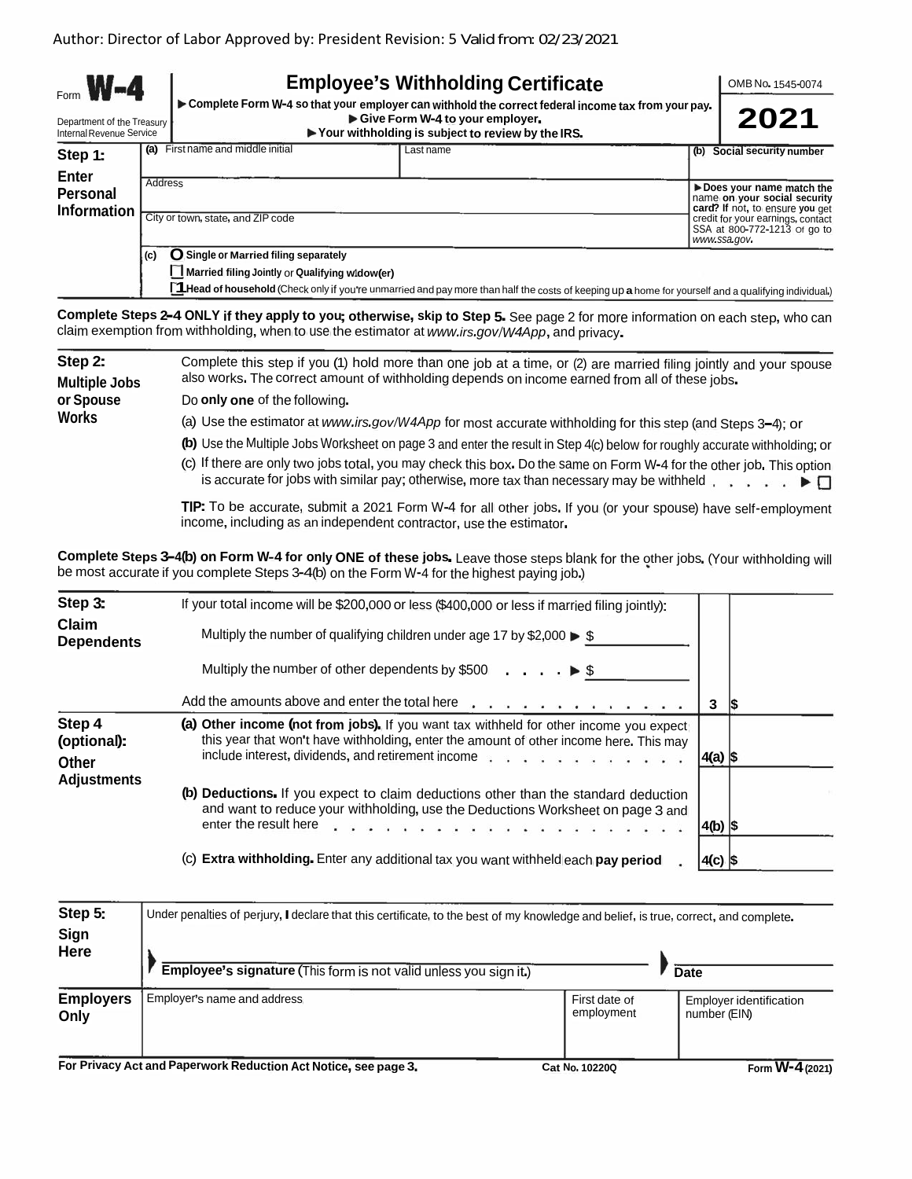| $W - 4$<br>Department of the Treasury<br>Internal Revenue Service |                |                                                                                                                              | <b>Employee's Withholding Certificate</b><br>Complete Form W-4 so that your employer can withhold the correct federal income tax from your pay.<br>Give Form W-4 to your employer.<br>$\blacktriangleright$ Your withholding is subject to review by the IRS. | OMB No. 1545-0074<br>2021                                                                                                 |
|-------------------------------------------------------------------|----------------|------------------------------------------------------------------------------------------------------------------------------|---------------------------------------------------------------------------------------------------------------------------------------------------------------------------------------------------------------------------------------------------------------|---------------------------------------------------------------------------------------------------------------------------|
| Step 1:<br><b>Enter</b><br><b>Personal</b><br><b>Information</b>  | (a)<br>Address | First name and middle initial                                                                                                | Last name                                                                                                                                                                                                                                                     | (b) Social security number<br>Does your name match the<br>name on your social security<br>card? If not, to ensure you get |
|                                                                   | (c)            | City or town, state, and ZIP code<br>O Single or Married filing separately<br>Married filing Jointly or Qualifying widow(er) | <b>Head of household</b> (Chock only if you're unmerried and nay more than bolf the sesse of leasning yn a home feavoured and a musliful and all the set of the set                                                                                           | credit for your earnings, contact<br>SSA at 800-772-1213 or go to<br>www.ssa.gov.                                         |

**<sup>I</sup>~1Head of household**(Check only if you're unmarried and pay more than half the costs of keeping up **<sup>a</sup>** home for yourself and <sup>a</sup> qualifying individual.)

Complete Steps 2-4 ONLY if they apply to you; otherwise, skip to Step 5. See page 2 for more information on each step, who can claim exemption from withholding, when to use the estimator at *www.irs.gov/W4App*,and privacy.

| Step 2:       | Complete this step if you (1) hold more than one job at a time, or (2) are married filing jointly and your spouse                                                                                                                           |
|---------------|---------------------------------------------------------------------------------------------------------------------------------------------------------------------------------------------------------------------------------------------|
| Multiple Jobs | also works. The correct amount of withholding depends on income earned from all of these jobs.                                                                                                                                              |
| or Spouse     | Do only one of the following.                                                                                                                                                                                                               |
| Works         | (a) Use the estimator at www.irs.gov/W4App for most accurate withholding for this step (and Steps 3-4); or                                                                                                                                  |
|               | (b) Use the Multiple Jobs Worksheet on page 3 and enter the result in Step 4(c) below for roughly accurate withholding; or                                                                                                                  |
|               | (c) If there are only two jobs total, you may check this box. Do the same on Form W-4 for the other job. This option<br>is accurate for jobs with similar pay; otherwise, more tax than necessary may be withheld $\ldots$ , $\blacksquare$ |

**TIP:** To be accurate, submit <sup>a</sup> <sup>2021</sup> Form <sup>W</sup>-<sup>4</sup> for all other jobs. If you (or your spouse) have self-employment income, including as an independent contractor, use the estimator.

Complete Steps 3-4(b) on Form W-4 for only ONE of these jobs. Leave those steps blank for the other jobs. (Your withholding will be most accurate if you complete Steps 3-4(b) on the Form W-4 for the highest paying job.)

| Step 3:                               | If your total income will be \$200,000 or less (\$400,000 or less if married filing jointly):                                                                                                                                                                                                                                                                                                            |             |     |
|---------------------------------------|----------------------------------------------------------------------------------------------------------------------------------------------------------------------------------------------------------------------------------------------------------------------------------------------------------------------------------------------------------------------------------------------------------|-------------|-----|
| Claim<br><b>Dependents</b>            | Multiply the number of qualifying children under age 17 by \$2,000 $\blacktriangleright$ \$                                                                                                                                                                                                                                                                                                              |             |     |
|                                       | Multiply the number of other dependents by \$500 $\ldots$ , $\blacktriangleright$ \$                                                                                                                                                                                                                                                                                                                     |             |     |
|                                       | Add the amounts above and enter the total here <b>Alexander Add the amounts</b> above and enter the total here <b>Alexander</b>                                                                                                                                                                                                                                                                          | 3           | 1\$ |
| Step 4<br>(optional):<br><b>Other</b> | (a) Other income (not from jobs). If you want tax withheld for other income you expect<br>this year that won't have withholding, enter the amount of other income here. This may<br>include interest, dividends, and retirement income with with a window with the include interest, dividends, and retirement income with window with $\alpha$                                                          | $ 4(a) $ \$ |     |
| <b>Adjustments</b>                    | (b) Deductions. If you expect to claim deductions other than the standard deduction<br>and want to reduce your withholding, use the Deductions Worksheet on page 3 and<br>enter the result here end on the content of the content of the content of the content of the content of the content of the content of the content of the content of the content of the content of the content of the content o | $ 4(b) $ \$ |     |
|                                       | (c) Extra withholding. Enter any additional tax you want withheld each pay period                                                                                                                                                                                                                                                                                                                        | $4(c)$ \$   |     |

| Step 5:<br>Sign<br><b>Here</b> | Under penalties of perjury, I declare that this certificate, to the best of my knowledge and belief, is true, correct, and complete. |                             |                                                |
|--------------------------------|--------------------------------------------------------------------------------------------------------------------------------------|-----------------------------|------------------------------------------------|
|                                | Employee's signature (This form is not valid unless you sign it.)                                                                    |                             | Date                                           |
| <b>Employers</b><br>Only       | Employer's name and address                                                                                                          | First date of<br>employment | <b>Employer identification</b><br>number (EIN) |
| Fer Britter & Lt               | and Demonstration of the Artificial Control of the                                                                                   |                             | <b>181 4</b>                                   |

For Privacy Act and Paperwork Reduction Act Notice, see page 3. Cat No. 10220Q Form W-4 (2021)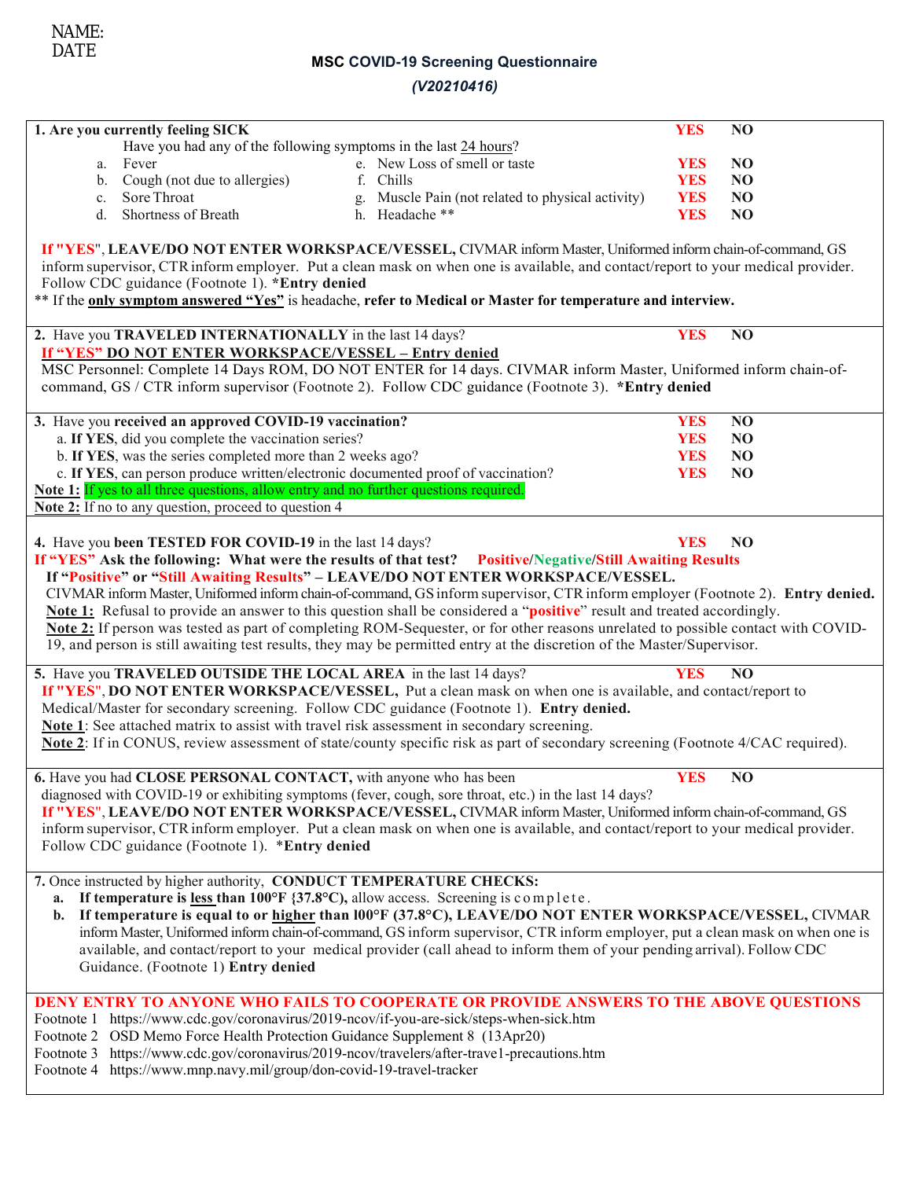### **MSC COVID-19 Screening Questionnaire**

### *(V20210416)*

| 1. Are you currently feeling SICK                                                                                  |                                                                                                                                  | <b>YES</b> | N <sub>O</sub> |
|--------------------------------------------------------------------------------------------------------------------|----------------------------------------------------------------------------------------------------------------------------------|------------|----------------|
| Have you had any of the following symptoms in the last 24 hours?                                                   |                                                                                                                                  |            |                |
| Fever<br>a.                                                                                                        | e. New Loss of smell or taste                                                                                                    | <b>YES</b> | N <sub>O</sub> |
| Cough (not due to allergies)<br>b.                                                                                 | f. Chills                                                                                                                        | <b>YES</b> | N <sub>O</sub> |
| Sore Throat<br>c.                                                                                                  | Muscle Pain (not related to physical activity)<br>g.                                                                             | <b>YES</b> | N <sub>O</sub> |
| Shortness of Breath<br>d.                                                                                          | h. Headache **                                                                                                                   | <b>YES</b> | N <sub>O</sub> |
|                                                                                                                    | If "YES", LEAVE/DO NOT ENTER WORKSPACE/VESSEL, CIVMAR inform Master, Uniformed inform chain-of-command, GS                       |            |                |
|                                                                                                                    | inform supervisor, CTR inform employer. Put a clean mask on when one is available, and contact/report to your medical provider.  |            |                |
| Follow CDC guidance (Footnote 1). *Entry denied                                                                    |                                                                                                                                  |            |                |
|                                                                                                                    | ** If the only symptom answered "Yes" is headache, refer to Medical or Master for temperature and interview.                     |            |                |
|                                                                                                                    |                                                                                                                                  |            |                |
| 2. Have you TRAVELED INTERNATIONALLY in the last 14 days?<br>If "YES" DO NOT ENTER WORKSPACE/VESSEL - Entry denied |                                                                                                                                  | <b>YES</b> | NO             |
|                                                                                                                    | MSC Personnel: Complete 14 Days ROM, DO NOT ENTER for 14 days. CIVMAR inform Master, Uniformed inform chain-of-                  |            |                |
|                                                                                                                    | command, GS / CTR inform supervisor (Footnote 2). Follow CDC guidance (Footnote 3). *Entry denied                                |            |                |
|                                                                                                                    |                                                                                                                                  |            |                |
| 3. Have you received an approved COVID-19 vaccination?                                                             |                                                                                                                                  | <b>YES</b> | N <sub>O</sub> |
| a. If YES, did you complete the vaccination series?                                                                |                                                                                                                                  | <b>YES</b> | N <sub>O</sub> |
| b. If YES, was the series completed more than 2 weeks ago?                                                         |                                                                                                                                  | <b>YES</b> | N <sub>O</sub> |
| c. If YES, can person produce written/electronic documented proof of vaccination?                                  |                                                                                                                                  | <b>YES</b> | N <sub>O</sub> |
| Note 1: If yes to all three questions, allow entry and no further questions required.                              |                                                                                                                                  |            |                |
| Note 2: If no to any question, proceed to question 4                                                               |                                                                                                                                  |            |                |
|                                                                                                                    |                                                                                                                                  |            |                |
| 4. Have you been TESTED FOR COVID-19 in the last 14 days?                                                          |                                                                                                                                  | <b>YES</b> | N <sub>O</sub> |
|                                                                                                                    | If "YES" Ask the following: What were the results of that test? Positive/Negative/Still Awaiting Results                         |            |                |
|                                                                                                                    | If "Positive" or "Still Awaiting Results" - LEAVE/DO NOT ENTER WORKSPACE/VESSEL.                                                 |            |                |
|                                                                                                                    | CIVMAR inform Master, Uniformed inform chain-of-command, GS inform supervisor, CTR inform employer (Footnote 2). Entry denied.   |            |                |
|                                                                                                                    | Note 1: Refusal to provide an answer to this question shall be considered a "positive" result and treated accordingly.           |            |                |
|                                                                                                                    | Note 2: If person was tested as part of completing ROM-Sequester, or for other reasons unrelated to possible contact with COVID- |            |                |
|                                                                                                                    | 19, and person is still awaiting test results, they may be permitted entry at the discretion of the Master/Supervisor.           |            |                |
| 5. Have you TRAVELED OUTSIDE THE LOCAL AREA in the last 14 days?                                                   |                                                                                                                                  | <b>YES</b> | N <sub>O</sub> |
|                                                                                                                    | If "YES", DO NOT ENTER WORKSPACE/VESSEL, Put a clean mask on when one is available, and contact/report to                        |            |                |
|                                                                                                                    | Medical/Master for secondary screening. Follow CDC guidance (Footnote 1). Entry denied.                                          |            |                |
| Note 1: See attached matrix to assist with travel risk assessment in secondary screening.                          |                                                                                                                                  |            |                |
|                                                                                                                    | Note 2: If in CONUS, review assessment of state/county specific risk as part of secondary screening (Footnote 4/CAC required).   |            |                |
| 6. Have you had CLOSE PERSONAL CONTACT, with anyone who has been                                                   |                                                                                                                                  | <b>YES</b> | N <sub>O</sub> |
|                                                                                                                    | diagnosed with COVID-19 or exhibiting symptoms (fever, cough, sore throat, etc.) in the last 14 days?                            |            |                |
|                                                                                                                    | If "YES", LEAVE/DO NOT ENTER WORKSPACE/VESSEL, CIVMAR inform Master, Uniformed inform chain-of-command, GS                       |            |                |
|                                                                                                                    | inform supervisor, CTR inform employer. Put a clean mask on when one is available, and contact/report to your medical provider.  |            |                |
| Follow CDC guidance (Footnote 1). *Entry denied                                                                    |                                                                                                                                  |            |                |
|                                                                                                                    |                                                                                                                                  |            |                |
| 7. Once instructed by higher authority, CONDUCT TEMPERATURE CHECKS:                                                |                                                                                                                                  |            |                |
| a.                                                                                                                 | If temperature is <u>less</u> than 100°F {37.8°C), allow access. Screening is complete.                                          |            |                |
| $\mathbf{b}$ .                                                                                                     | If temperature is equal to or higher than 100°F (37.8°C), LEAVE/DO NOT ENTER WORKSPACE/VESSEL, CIVMAR                            |            |                |
|                                                                                                                    | inform Master, Uniformed inform chain-of-command, GS inform supervisor, CTR inform employer, put a clean mask on when one is     |            |                |
|                                                                                                                    | available, and contact/report to your medical provider (call ahead to inform them of your pending arrival). Follow CDC           |            |                |
| Guidance. (Footnote 1) Entry denied                                                                                |                                                                                                                                  |            |                |
|                                                                                                                    |                                                                                                                                  |            |                |
|                                                                                                                    | DENY ENTRY TO ANYONE WHO FAILS TO COOPERATE OR PROVIDE ANSWERS TO THE ABOVE QUESTIONS                                            |            |                |
| Footnote 1 https://www.cdc.gov/coronavirus/2019-ncov/if-you-are-sick/steps-when-sick.htm                           |                                                                                                                                  |            |                |
| Footnote 2 OSD Memo Force Health Protection Guidance Supplement 8 (13Apr20)                                        |                                                                                                                                  |            |                |
| Footnote 3 https://www.cdc.gov/coronavirus/2019-ncov/travelers/after-trave1-precautions.htm                        |                                                                                                                                  |            |                |

Footnote 4 https://www.mnp.navy.mil/group/don-covid-19-travel-tracker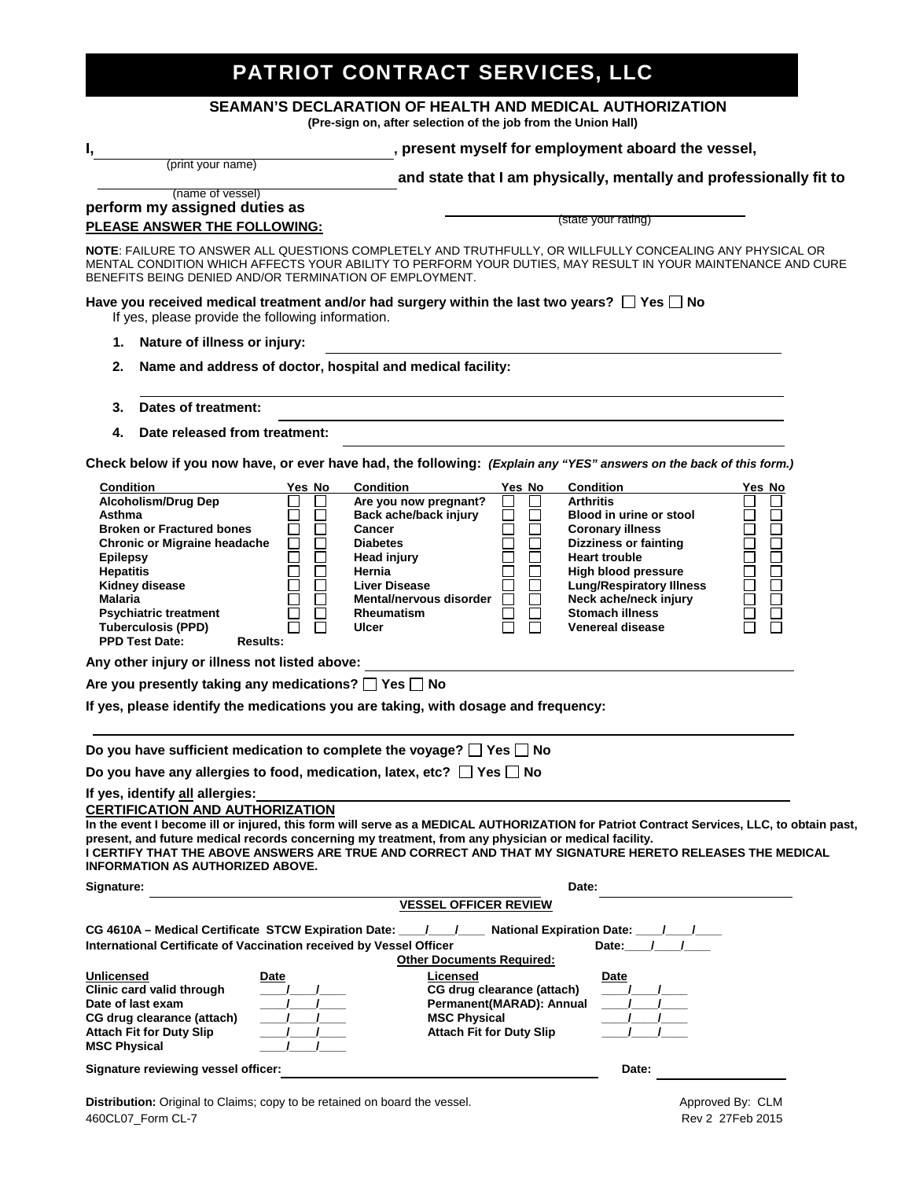# PATRIOT CONTRACT SERVICES, LLC

#### **SEAMAN'S DECLARATION OF HEALTH AND MEDICAL AUTHORIZATION**

**(Pre-sign on, after selection of the job from the Union Hall)** 

### **I, , present myself for employment aboard the vessel,**

(print your name)

 **and state that I am physically, mentally and professionally fit to** 

#### **perform my assigned duties as PLEASE ANSWER THE FOLLOWING:**  (name of vessel)

(state your rating)

**NOTE**: FAILURE TO ANSWER ALL QUESTIONS COMPLETELY AND TRUTHFULLY, OR WILLFULLY CONCEALING ANY PHYSICAL OR MENTAL CONDITION WHICH AFFECTS YOUR ABILITY TO PERFORM YOUR DUTIES, MAY RESULT IN YOUR MAINTENANCE AND CURE BENEFITS BEING DENIED AND/OR TERMINATION OF EMPLOYMENT.

Have you received medical treatment and/or had surgery within the last two years?  $\square$  Yes  $\square$  No If yes, please provide the following information.

- **1. Nature of illness or injury:**
- **2. Name and address of doctor, hospital and medical facility:**
- **3. Dates of treatment:**
- **4. Date released from treatment:**

**Check below if you now have, or ever have had, the following:** *(Explain any "YES" answers on the back of this form.)*

| <b>Condition</b><br><b>Alcoholism/Drug Dep</b><br>Asthma<br><b>Broken or Fractured bones</b><br><b>Chronic or Migraine headache</b><br><b>Epilepsy</b><br><b>Hepatitis</b><br>Kidney disease<br><b>Malaria</b><br><b>Psychiatric treatment</b><br><b>Tuberculosis (PPD)</b>                                                                                                                             | Yes No<br>⊔<br>□<br>П<br>$\overline{\phantom{0}}$<br>П<br>П<br>Ē<br>П<br>□<br>П<br>П | <b>Condition</b><br>Are you now pregnant?<br>Back ache/back injury<br>Cancer<br><b>Diabetes</b><br><b>Head injury</b><br>Hernia<br><b>Liver Disease</b><br>Mental/nervous disorder<br><b>Rheumatism</b><br>Ulcer | Yes No<br>⊔<br>$\Box$<br>$\Box$ | <b>Condition</b><br><b>Arthritis</b><br><b>Blood in urine or stool</b><br><b>Coronary illness</b><br><b>Dizziness or fainting</b><br><b>Heart trouble</b><br><b>High blood pressure</b><br><b>Lung/Respiratory Illness</b><br>Neck ache/neck injury<br><b>Stomach illness</b><br><b>Venereal disease</b> | Yes No<br>П<br>$\Box$<br>□<br>$\Box$<br>88888888888<br>$\Box$<br>1000<br>1000<br>Ō |
|---------------------------------------------------------------------------------------------------------------------------------------------------------------------------------------------------------------------------------------------------------------------------------------------------------------------------------------------------------------------------------------------------------|--------------------------------------------------------------------------------------|------------------------------------------------------------------------------------------------------------------------------------------------------------------------------------------------------------------|---------------------------------|----------------------------------------------------------------------------------------------------------------------------------------------------------------------------------------------------------------------------------------------------------------------------------------------------------|------------------------------------------------------------------------------------|
| <b>PPD Test Date:</b><br><b>Results:</b>                                                                                                                                                                                                                                                                                                                                                                |                                                                                      |                                                                                                                                                                                                                  |                                 |                                                                                                                                                                                                                                                                                                          |                                                                                    |
| Any other injury or illness not listed above:                                                                                                                                                                                                                                                                                                                                                           |                                                                                      |                                                                                                                                                                                                                  |                                 |                                                                                                                                                                                                                                                                                                          |                                                                                    |
| Are you presently taking any medications? $\Box$ Yes $\Box$ No                                                                                                                                                                                                                                                                                                                                          |                                                                                      |                                                                                                                                                                                                                  |                                 |                                                                                                                                                                                                                                                                                                          |                                                                                    |
| If yes, please identify the medications you are taking, with dosage and frequency:                                                                                                                                                                                                                                                                                                                      |                                                                                      |                                                                                                                                                                                                                  |                                 |                                                                                                                                                                                                                                                                                                          |                                                                                    |
|                                                                                                                                                                                                                                                                                                                                                                                                         |                                                                                      |                                                                                                                                                                                                                  |                                 |                                                                                                                                                                                                                                                                                                          |                                                                                    |
| Do you have sufficient medication to complete the voyage? $\Box$ Yes $\Box$ No                                                                                                                                                                                                                                                                                                                          |                                                                                      |                                                                                                                                                                                                                  |                                 |                                                                                                                                                                                                                                                                                                          |                                                                                    |
| Do you have any allergies to food, medication, latex, etc? $\Box$ Yes $\Box$ No                                                                                                                                                                                                                                                                                                                         |                                                                                      |                                                                                                                                                                                                                  |                                 |                                                                                                                                                                                                                                                                                                          |                                                                                    |
| If yes, identify all allergies:<br><b>CERTIFICATION AND AUTHORIZATION</b>                                                                                                                                                                                                                                                                                                                               |                                                                                      |                                                                                                                                                                                                                  |                                 |                                                                                                                                                                                                                                                                                                          |                                                                                    |
| In the event I become ill or injured, this form will serve as a MEDICAL AUTHORIZATION for Patriot Contract Services, LLC, to obtain past,<br>present, and future medical records concerning my treatment, from any physician or medical facility.<br>I CERTIFY THAT THE ABOVE ANSWERS ARE TRUE AND CORRECT AND THAT MY SIGNATURE HERETO RELEASES THE MEDICAL<br><b>INFORMATION AS AUTHORIZED ABOVE.</b> |                                                                                      |                                                                                                                                                                                                                  |                                 |                                                                                                                                                                                                                                                                                                          |                                                                                    |
| Signature:                                                                                                                                                                                                                                                                                                                                                                                              |                                                                                      |                                                                                                                                                                                                                  |                                 | Date:                                                                                                                                                                                                                                                                                                    |                                                                                    |
|                                                                                                                                                                                                                                                                                                                                                                                                         |                                                                                      | <b>VESSEL OFFICER REVIEW</b>                                                                                                                                                                                     |                                 |                                                                                                                                                                                                                                                                                                          |                                                                                    |
| CG 4610A – Medical Certificate STCW Expiration Date: $\frac{1}{1}$ $\frac{1}{1}$ National Expiration Date: $\frac{1}{1}$<br>International Certificate of Vaccination received by Vessel Officer                                                                                                                                                                                                         |                                                                                      | <b>Other Documents Required:</b>                                                                                                                                                                                 |                                 | Date: /                                                                                                                                                                                                                                                                                                  |                                                                                    |
| Unlicensed<br>Clinic card valid through<br>Date of last exam<br>CG drug clearance (attach)<br><b>Attach Fit for Duty Slip</b><br><b>MSC Physical</b>                                                                                                                                                                                                                                                    | Date                                                                                 | Licensed<br>CG drug clearance (attach)<br>Permanent(MARAD): Annual<br><b>MSC Physical</b><br><b>Attach Fit for Duty Slip</b>                                                                                     |                                 | Date                                                                                                                                                                                                                                                                                                     |                                                                                    |

**Signature reviewing vessel officer: Biography Contract and Security Contract Contract Contract Contract Contract Contract Contract Contract Contract Contract Contract Contract Contract Contract Contract Contract Contr**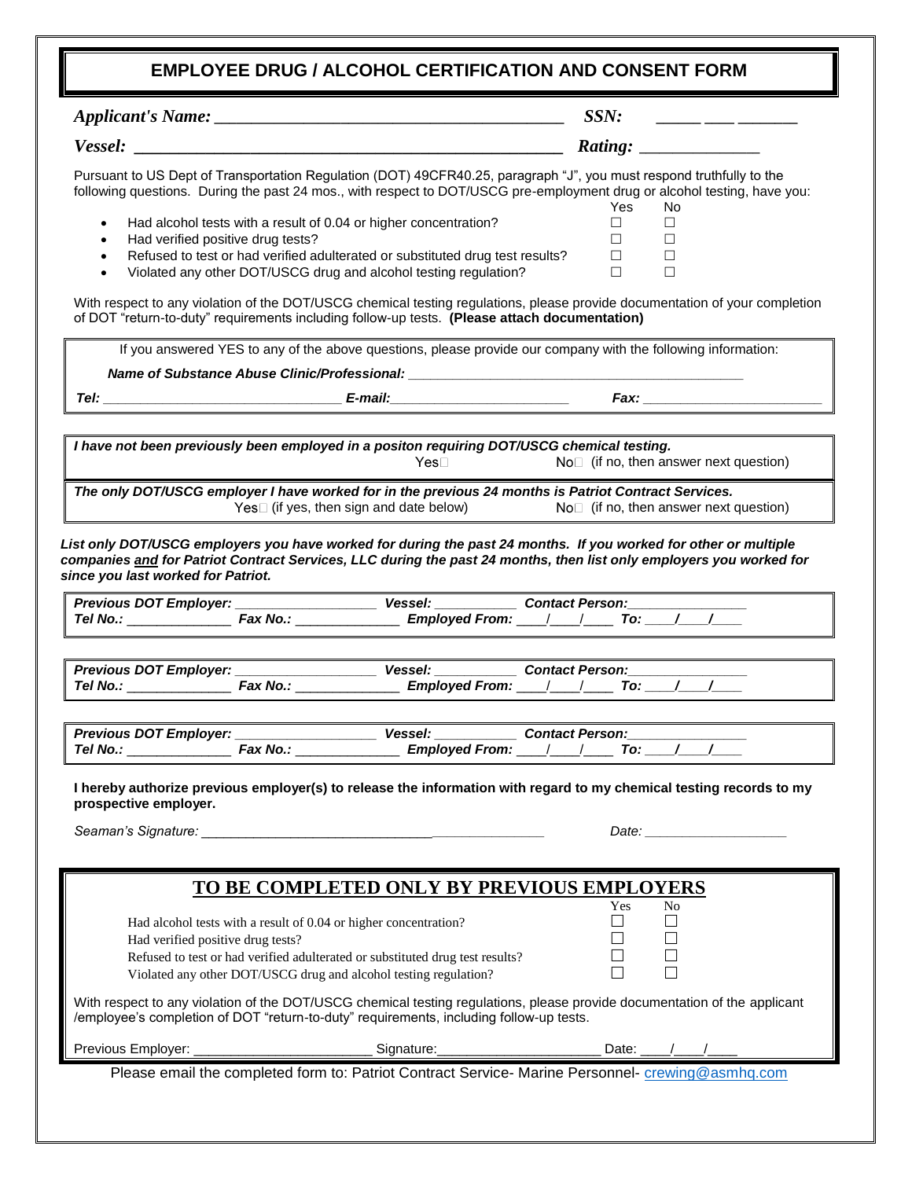### **EMPLOYEE DRUG / ALCOHOL CERTIFICATION AND CONSENT FORM**

|                                     |                                                                                                                                                                           | <b>EMPLOYEE DRUG / ALCOHOL CERTIFICATION AND CONSENT FORM</b>                                                                                                                                                                                                                                                                                                                                         |                                                       |                              |                                                                                                                                                                                                                                                                                                                                                                                                                       |                                                                                                                                                                                                                                |
|-------------------------------------|---------------------------------------------------------------------------------------------------------------------------------------------------------------------------|-------------------------------------------------------------------------------------------------------------------------------------------------------------------------------------------------------------------------------------------------------------------------------------------------------------------------------------------------------------------------------------------------------|-------------------------------------------------------|------------------------------|-----------------------------------------------------------------------------------------------------------------------------------------------------------------------------------------------------------------------------------------------------------------------------------------------------------------------------------------------------------------------------------------------------------------------|--------------------------------------------------------------------------------------------------------------------------------------------------------------------------------------------------------------------------------|
|                                     |                                                                                                                                                                           |                                                                                                                                                                                                                                                                                                                                                                                                       | SSN:                                                  |                              | $\frac{1}{1-\frac{1}{1-\frac{1}{1-\frac{1}{1-\frac{1}{1-\frac{1}{1-\frac{1}{1-\frac{1}{1-\frac{1}{1-\frac{1}{1-\frac{1}{1-\frac{1}{1-\frac{1}{1-\frac{1}{1-\frac{1}{1-\frac{1}{1-\frac{1}{1-\frac{1}{1-\frac{1}{1-\frac{1}{1-\frac{1}{1-\frac{1}{1-\frac{1}{1-\frac{1}{1-\frac{1}{1-\frac{1}{1-\frac{1}{1-\frac{1}{1-\frac{1}{1-\frac{1}{1-\frac{1}{1-\frac{1}{1-\frac{1}{1-\frac{1}{1-\frac{1}{1-\frac{1}{1-\frac{1$ |                                                                                                                                                                                                                                |
|                                     |                                                                                                                                                                           |                                                                                                                                                                                                                                                                                                                                                                                                       |                                                       |                              |                                                                                                                                                                                                                                                                                                                                                                                                                       |                                                                                                                                                                                                                                |
| $\bullet$<br>$\bullet$<br>$\bullet$ | Had alcohol tests with a result of 0.04 or higher concentration?<br>Had verified positive drug tests?                                                                     | Pursuant to US Dept of Transportation Regulation (DOT) 49CFR40.25, paragraph "J", you must respond truthfully to the<br>following questions. During the past 24 mos., with respect to DOT/USCG pre-employment drug or alcohol testing, have you:<br>Refused to test or had verified adulterated or substituted drug test results?<br>Violated any other DOT/USCG drug and alcohol testing regulation? | Yes<br>$\Box$<br>$\Box$<br>□.<br>$\Box$               | No.<br>Ш<br>П<br>Ш<br>$\Box$ |                                                                                                                                                                                                                                                                                                                                                                                                                       |                                                                                                                                                                                                                                |
|                                     |                                                                                                                                                                           | With respect to any violation of the DOT/USCG chemical testing regulations, please provide documentation of your completion<br>of DOT "return-to-duty" requirements including follow-up tests. (Please attach documentation)                                                                                                                                                                          |                                                       |                              |                                                                                                                                                                                                                                                                                                                                                                                                                       |                                                                                                                                                                                                                                |
|                                     |                                                                                                                                                                           | If you answered YES to any of the above questions, please provide our company with the following information:                                                                                                                                                                                                                                                                                         |                                                       |                              |                                                                                                                                                                                                                                                                                                                                                                                                                       |                                                                                                                                                                                                                                |
|                                     |                                                                                                                                                                           | Name of Substance Abuse Clinic/Professional: ___________________________________                                                                                                                                                                                                                                                                                                                      |                                                       |                              |                                                                                                                                                                                                                                                                                                                                                                                                                       |                                                                                                                                                                                                                                |
|                                     |                                                                                                                                                                           |                                                                                                                                                                                                                                                                                                                                                                                                       |                                                       |                              |                                                                                                                                                                                                                                                                                                                                                                                                                       |                                                                                                                                                                                                                                |
|                                     |                                                                                                                                                                           | I have not been previously been employed in a positon requiring DOT/USCG chemical testing.<br>Yes⊟                                                                                                                                                                                                                                                                                                    | No <sup>[1</sup> ] (if no, then answer next question) |                              |                                                                                                                                                                                                                                                                                                                                                                                                                       |                                                                                                                                                                                                                                |
|                                     |                                                                                                                                                                           | The only DOT/USCG employer I have worked for in the previous 24 months is Patriot Contract Services.<br>$Yes$ (if yes, then sign and date below) $No$ (if no, then answer next question)                                                                                                                                                                                                              |                                                       |                              |                                                                                                                                                                                                                                                                                                                                                                                                                       |                                                                                                                                                                                                                                |
|                                     |                                                                                                                                                                           | List only DOT/USCG employers you have worked for during the past 24 months. If you worked for other or multiple                                                                                                                                                                                                                                                                                       |                                                       |                              |                                                                                                                                                                                                                                                                                                                                                                                                                       |                                                                                                                                                                                                                                |
| since you last worked for Patriot.  |                                                                                                                                                                           | companies and for Patriot Contract Services, LLC during the past 24 months, then list only employers you worked for                                                                                                                                                                                                                                                                                   |                                                       |                              |                                                                                                                                                                                                                                                                                                                                                                                                                       |                                                                                                                                                                                                                                |
|                                     |                                                                                                                                                                           | Previous DOT Employer: __________________________ Vessel: _____________ Contact Person:_____                                                                                                                                                                                                                                                                                                          |                                                       |                              |                                                                                                                                                                                                                                                                                                                                                                                                                       |                                                                                                                                                                                                                                |
|                                     | Previous DOT Employer: ________________________ Vessel: _                                                                                                                 | <b>Contact Person:</b>                                                                                                                                                                                                                                                                                                                                                                                |                                                       |                              |                                                                                                                                                                                                                                                                                                                                                                                                                       |                                                                                                                                                                                                                                |
| prospective employer.               | Seaman's Signature: North Seaman's Signature:                                                                                                                             | I hereby authorize previous employer(s) to release the information with regard to my chemical testing records to my                                                                                                                                                                                                                                                                                   |                                                       |                              |                                                                                                                                                                                                                                                                                                                                                                                                                       | Date: the contract of the contract of the contract of the contract of the contract of the contract of the contract of the contract of the contract of the contract of the contract of the contract of the contract of the cont |
|                                     |                                                                                                                                                                           | TO BE COMPLETED ONLY BY PREVIOUS EMPLOYERS                                                                                                                                                                                                                                                                                                                                                            |                                                       |                              |                                                                                                                                                                                                                                                                                                                                                                                                                       |                                                                                                                                                                                                                                |
|                                     | Had alcohol tests with a result of 0.04 or higher concentration?<br>Had verified positive drug tests?<br>Violated any other DOT/USCG drug and alcohol testing regulation? | Refused to test or had verified adulterated or substituted drug test results?                                                                                                                                                                                                                                                                                                                         | Yes<br>$\Box$<br>П                                    | No                           |                                                                                                                                                                                                                                                                                                                                                                                                                       |                                                                                                                                                                                                                                |
|                                     |                                                                                                                                                                           | With respect to any violation of the DOT/USCG chemical testing regulations, please provide documentation of the applicant<br>/employee's completion of DOT "return-to-duty" requirements, including follow-up tests.                                                                                                                                                                                  |                                                       |                              |                                                                                                                                                                                                                                                                                                                                                                                                                       |                                                                                                                                                                                                                                |
|                                     |                                                                                                                                                                           | Previous Employer: ______________________________Signature:__________________________Date: _____/_____________                                                                                                                                                                                                                                                                                        |                                                       |                              |                                                                                                                                                                                                                                                                                                                                                                                                                       |                                                                                                                                                                                                                                |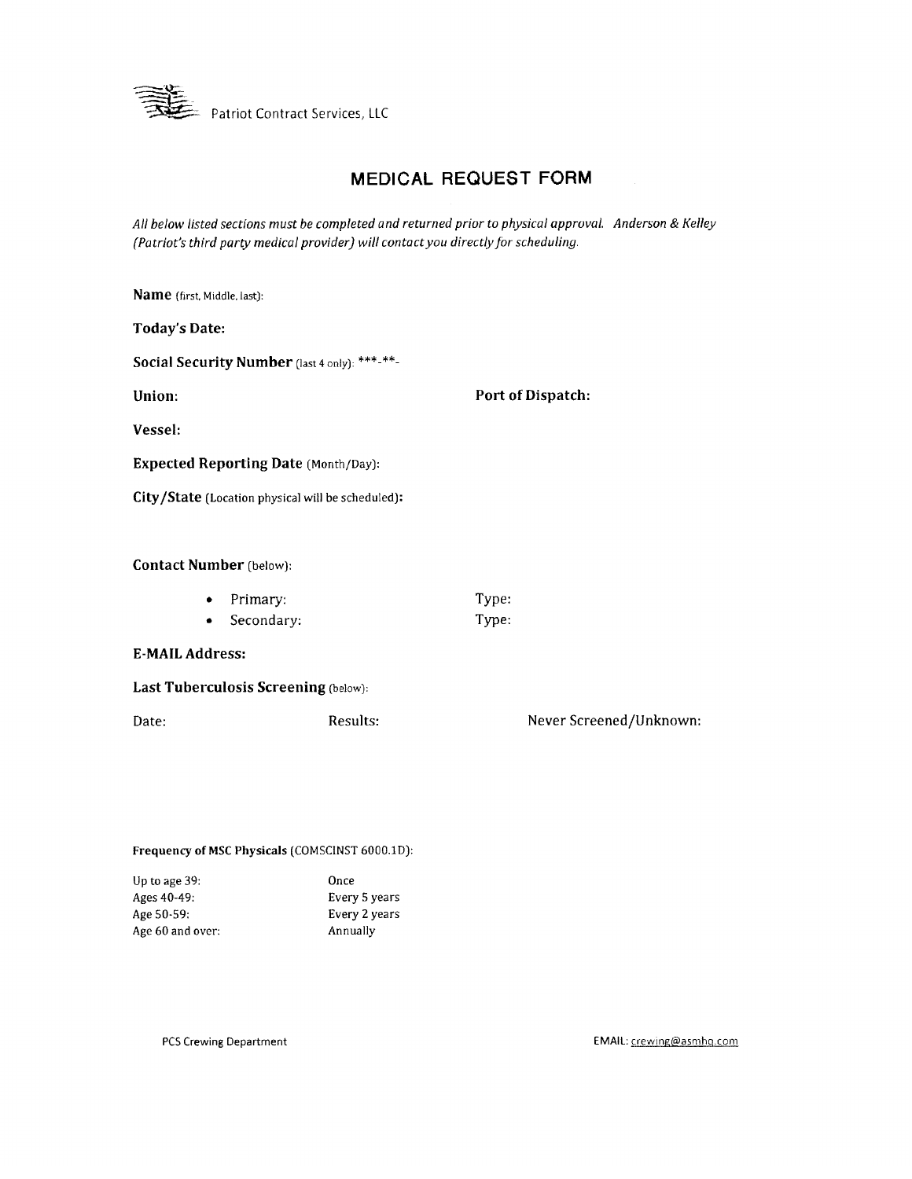

## **MEDICAL REQUEST FORM**

All below listed sections must be completed and returned prior to physical approval. Anderson & Kelley (Patriot's third party medical provider) will contact you directly for scheduling.

| Name (first, Middle, last):    |                                                   |       |                         |
|--------------------------------|---------------------------------------------------|-------|-------------------------|
| <b>Today's Date:</b>           |                                                   |       |                         |
|                                | Social Security Number (last 4 only): ***-**-     |       |                         |
| Union:                         |                                                   |       | Port of Dispatch:       |
| Vessel:                        |                                                   |       |                         |
|                                | <b>Expected Reporting Date (Month/Day):</b>       |       |                         |
|                                | City/State (Location physical will be scheduled): |       |                         |
|                                |                                                   |       |                         |
| <b>Contact Number</b> (below): |                                                   |       |                         |
| ٠                              | Primary:                                          | Type: |                         |
| ٠                              | Secondary:                                        | Type: |                         |
| <b>E-MAIL Address:</b>         |                                                   |       |                         |
|                                | Last Tuberculosis Screening (below):              |       |                         |
| Date:                          | Results:                                          |       | Never Screened/Unknown: |
|                                |                                                   |       |                         |
|                                |                                                   |       |                         |

Frequency of MSC Physicals (COMSCINST 6000.1D):

| Once          |
|---------------|
| Every 5 years |
| Every 2 years |
| Annually      |
|               |

PCS Crewing Department

EMAIL: crewing@asmhq.com